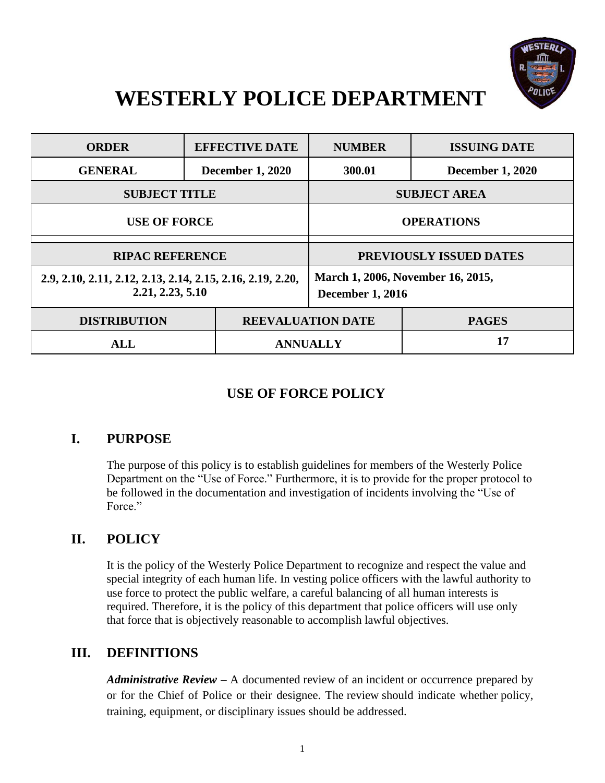

# **WESTERLY POLICE DEPARTMENT**

| <b>ORDER</b>                                                                   | <b>EFFECTIVE DATE</b>   | <b>NUMBER</b>                                                | <b>ISSUING DATE</b>     |
|--------------------------------------------------------------------------------|-------------------------|--------------------------------------------------------------|-------------------------|
| <b>GENERAL</b>                                                                 | <b>December 1, 2020</b> | 300.01                                                       | <b>December 1, 2020</b> |
| <b>SUBJECT TITLE</b>                                                           |                         | <b>SUBJECT AREA</b>                                          |                         |
| <b>USE OF FORCE</b>                                                            |                         | <b>OPERATIONS</b>                                            |                         |
| <b>RIPAC REFERENCE</b>                                                         |                         | PREVIOUSLY ISSUED DATES                                      |                         |
| 2.9, 2.10, 2.11, 2.12, 2.13, 2.14, 2.15, 2.16, 2.19, 2.20,<br>2.21, 2.23, 5.10 |                         | March 1, 2006, November 16, 2015,<br><b>December 1, 2016</b> |                         |
| <b>DISTRIBUTION</b>                                                            |                         | <b>REEVALUATION DATE</b>                                     | <b>PAGES</b>            |
| <b>ALL</b>                                                                     |                         | <b>ANNUALLY</b>                                              | 17                      |

## **USE OF FORCE POLICY**

## **I. PURPOSE**

The purpose of this policy is to establish guidelines for members of the Westerly Police Department on the "Use of Force." Furthermore, it is to provide for the proper protocol to be followed in the documentation and investigation of incidents involving the "Use of Force."

## **II. POLICY**

It is the policy of the Westerly Police Department to recognize and respect the value and special integrity of each human life. In vesting police officers with the lawful authority to use force to protect the public welfare, a careful balancing of all human interests is required. Therefore, it is the policy of this department that police officers will use only that force that is objectively reasonable to accomplish lawful objectives.

## **III. DEFINITIONS**

*Administrative Review* **–** A documented review of an incident or occurrence prepared by or for the Chief of Police or their designee. The review should indicate whether policy, training, equipment, or disciplinary issues should be addressed.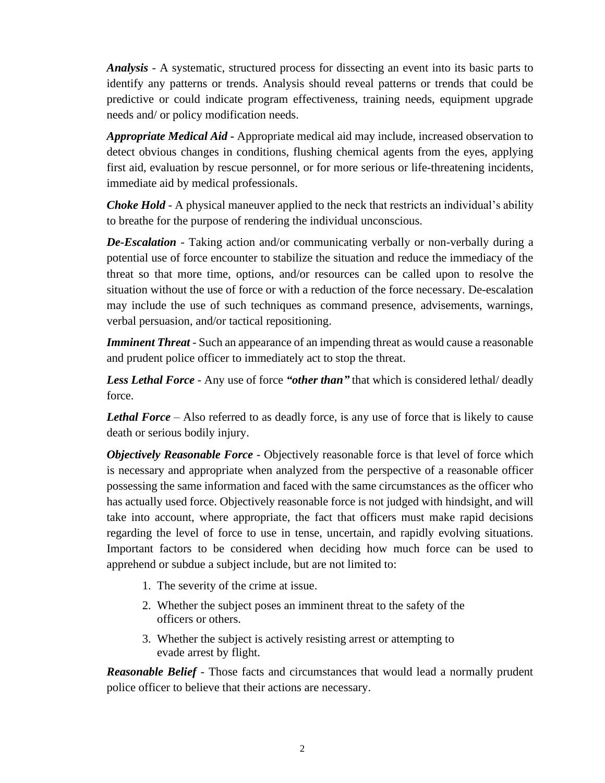*Analysis* - A systematic, structured process for dissecting an event into its basic parts to identify any patterns or trends. Analysis should reveal patterns or trends that could be predictive or could indicate program effectiveness, training needs, equipment upgrade needs and/ or policy modification needs.

*Appropriate Medical Aid* **-** Appropriate medical aid may include, increased observation to detect obvious changes in conditions, flushing chemical agents from the eyes, applying first aid, evaluation by rescue personnel, or for more serious or life-threatening incidents, immediate aid by medical professionals.

*Choke Hold -* A physical maneuver applied to the neck that restricts an individual's ability to breathe for the purpose of rendering the individual unconscious.

*De-Escalation* - Taking action and/or communicating verbally or non-verbally during a potential use of force encounter to stabilize the situation and reduce the immediacy of the threat so that more time, options, and/or resources can be called upon to resolve the situation without the use of force or with a reduction of the force necessary. De-escalation may include the use of such techniques as command presence, advisements, warnings, verbal persuasion, and/or tactical repositioning.

*Imminent Threat* - Such an appearance of an impending threat as would cause a reasonable and prudent police officer to immediately act to stop the threat.

*Less Lethal Force* - Any use of force *"other than"* that which is considered lethal/ deadly force.

*Lethal Force* – Also referred to as deadly force, is any use of force that is likely to cause death or serious bodily injury.

*Objectively Reasonable Force* - Objectively reasonable force is that level of force which is necessary and appropriate when analyzed from the perspective of a reasonable officer possessing the same information and faced with the same circumstances as the officer who has actually used force. Objectively reasonable force is not judged with hindsight, and will take into account, where appropriate, the fact that officers must make rapid decisions regarding the level of force to use in tense, uncertain, and rapidly evolving situations. Important factors to be considered when deciding how much force can be used to apprehend or subdue a subject include, but are not limited to:

- 1. The severity of the crime at issue.
- 2. Whether the subject poses an imminent threat to the safety of the officers or others.
- 3. Whether the subject is actively resisting arrest or attempting to evade arrest by flight.

*Reasonable Belief* - Those facts and circumstances that would lead a normally prudent police officer to believe that their actions are necessary.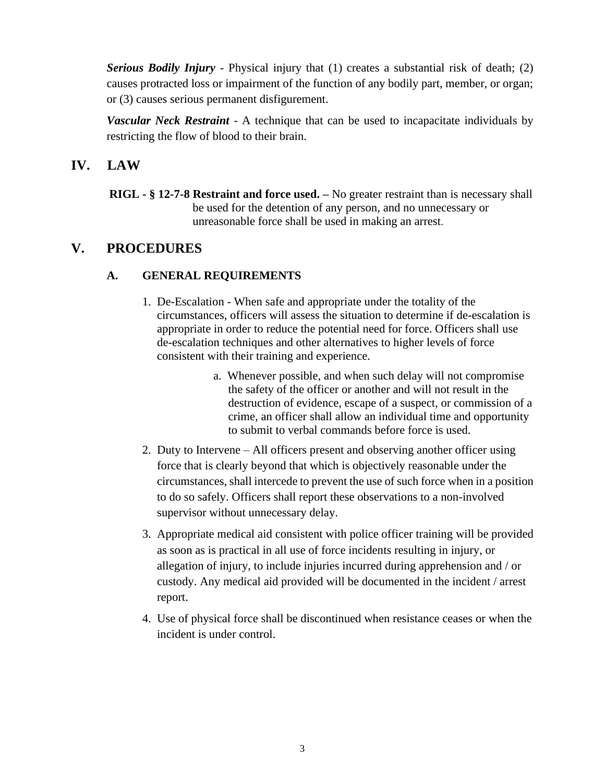*Serious Bodily Injury* - Physical injury that (1) creates a substantial risk of death; (2) causes protracted loss or impairment of the function of any bodily part, member, or organ; or (3) causes serious permanent disfigurement.

*Vascular Neck Restraint -* A technique that can be used to incapacitate individuals by restricting the flow of blood to their brain.

## **IV. LAW**

 **RIGL - § 12-7-8 Restraint and force used. –** No greater restraint than is necessary shall be used for the detention of any person, and no unnecessary or unreasonable force shall be used in making an arrest.

## **V. PROCEDURES**

## **A. GENERAL REQUIREMENTS**

- 1. De-Escalation When safe and appropriate under the totality of the circumstances, officers will assess the situation to determine if de-escalation is appropriate in order to reduce the potential need for force. Officers shall use de-escalation techniques and other alternatives to higher levels of force consistent with their training and experience.
	- a. Whenever possible, and when such delay will not compromise the safety of the officer or another and will not result in the destruction of evidence, escape of a suspect, or commission of a crime, an officer shall allow an individual time and opportunity to submit to verbal commands before force is used.
- 2. Duty to Intervene All officers present and observing another officer using force that is clearly beyond that which is objectively reasonable under the circumstances, shall intercede to prevent the use of such force when in a position to do so safely. Officers shall report these observations to a non-involved supervisor without unnecessary delay.
- 3. Appropriate medical aid consistent with police officer training will be provided as soon as is practical in all use of force incidents resulting in injury, or allegation of injury, to include injuries incurred during apprehension and / or custody. Any medical aid provided will be documented in the incident / arrest report.
- 4. Use of physical force shall be discontinued when resistance ceases or when the incident is under control.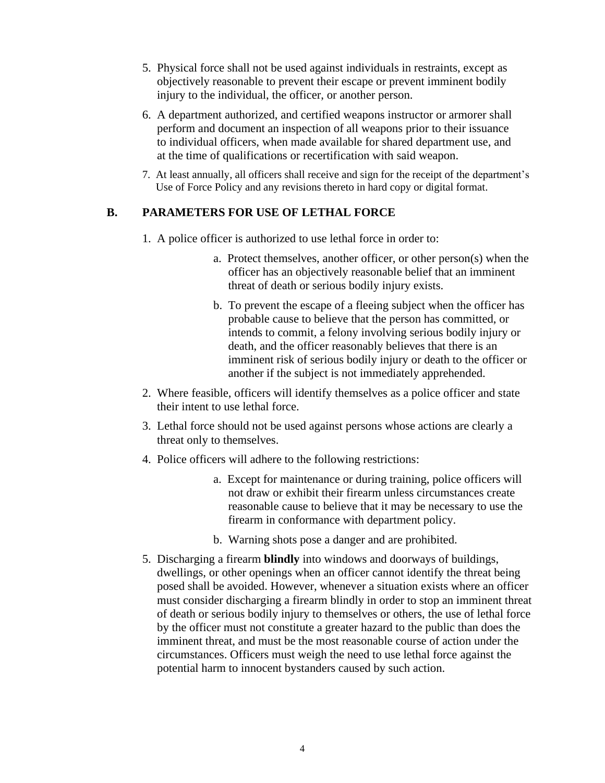- 5. Physical force shall not be used against individuals in restraints, except as objectively reasonable to prevent their escape or prevent imminent bodily injury to the individual, the officer, or another person.
- 6. A department authorized, and certified weapons instructor or armorer shall perform and document an inspection of all weapons prior to their issuance to individual officers, when made available for shared department use, and at the time of qualifications or recertification with said weapon.
- 7. At least annually, all officers shall receive and sign for the receipt of the department's Use of Force Policy and any revisions thereto in hard copy or digital format.

#### **B. PARAMETERS FOR USE OF LETHAL FORCE**

- 1. A police officer is authorized to use lethal force in order to:
	- a. Protect themselves, another officer, or other person(s) when the officer has an objectively reasonable belief that an imminent threat of death or serious bodily injury exists.
	- b. To prevent the escape of a fleeing subject when the officer has probable cause to believe that the person has committed, or intends to commit, a felony involving serious bodily injury or death, and the officer reasonably believes that there is an imminent risk of serious bodily injury or death to the officer or another if the subject is not immediately apprehended.
- 2. Where feasible, officers will identify themselves as a police officer and state their intent to use lethal force.
- 3. Lethal force should not be used against persons whose actions are clearly a threat only to themselves.
- 4. Police officers will adhere to the following restrictions:
	- a. Except for maintenance or during training, police officers will not draw or exhibit their firearm unless circumstances create reasonable cause to believe that it may be necessary to use the firearm in conformance with department policy.
	- b. Warning shots pose a danger and are prohibited.
- 5. Discharging a firearm **blindly** into windows and doorways of buildings, dwellings, or other openings when an officer cannot identify the threat being posed shall be avoided. However, whenever a situation exists where an officer must consider discharging a firearm blindly in order to stop an imminent threat of death or serious bodily injury to themselves or others, the use of lethal force by the officer must not constitute a greater hazard to the public than does the imminent threat, and must be the most reasonable course of action under the circumstances. Officers must weigh the need to use lethal force against the potential harm to innocent bystanders caused by such action.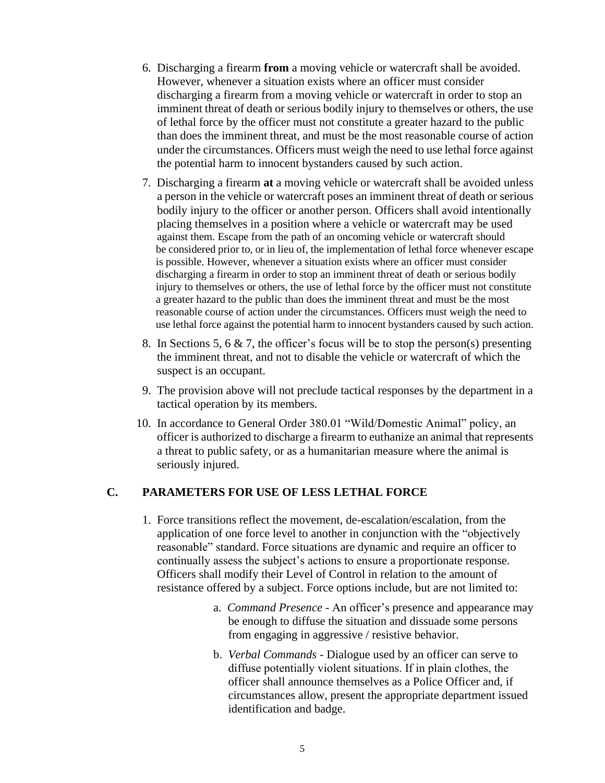- 6. Discharging a firearm **from** a moving vehicle or watercraft shall be avoided. However, whenever a situation exists where an officer must consider discharging a firearm from a moving vehicle or watercraft in order to stop an imminent threat of death or serious bodily injury to themselves or others, the use of lethal force by the officer must not constitute a greater hazard to the public than does the imminent threat, and must be the most reasonable course of action under the circumstances. Officers must weigh the need to use lethal force against the potential harm to innocent bystanders caused by such action.
- 7. Discharging a firearm **at** a moving vehicle or watercraft shall be avoided unless a person in the vehicle or watercraft poses an imminent threat of death or serious bodily injury to the officer or another person. Officers shall avoid intentionally placing themselves in a position where a vehicle or watercraft may be used against them. Escape from the path of an oncoming vehicle or watercraft should be considered prior to, or in lieu of, the implementation of lethal force whenever escape is possible. However, whenever a situation exists where an officer must consider discharging a firearm in order to stop an imminent threat of death or serious bodily injury to themselves or others, the use of lethal force by the officer must not constitute a greater hazard to the public than does the imminent threat and must be the most reasonable course of action under the circumstances. Officers must weigh the need to use lethal force against the potential harm to innocent bystanders caused by such action.
- 8. In Sections 5, 6  $\&$  7, the officer's focus will be to stop the person(s) presenting the imminent threat, and not to disable the vehicle or watercraft of which the suspect is an occupant.
- 9. The provision above will not preclude tactical responses by the department in a tactical operation by its members.
- 10. In accordance to General Order 380.01 "Wild/Domestic Animal" policy, an officer is authorized to discharge a firearm to euthanize an animal that represents a threat to public safety, or as a humanitarian measure where the animal is seriously injured.

#### **C. PARAMETERS FOR USE OF LESS LETHAL FORCE**

- 1. Force transitions reflect the movement, de-escalation/escalation, from the application of one force level to another in conjunction with the "objectively reasonable" standard. Force situations are dynamic and require an officer to continually assess the subject's actions to ensure a proportionate response. Officers shall modify their Level of Control in relation to the amount of resistance offered by a subject. Force options include, but are not limited to:
	- a. *Command Presence*  An officer's presence and appearance may be enough to diffuse the situation and dissuade some persons from engaging in aggressive / resistive behavior.
	- b. *Verbal Commands*  Dialogue used by an officer can serve to diffuse potentially violent situations. If in plain clothes, the officer shall announce themselves as a Police Officer and, if circumstances allow, present the appropriate department issued identification and badge.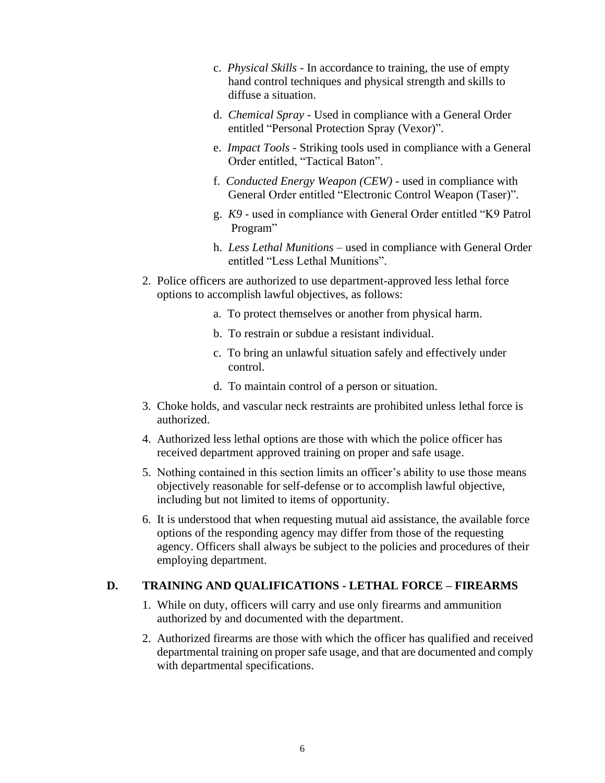- c. *Physical Skills* In accordance to training, the use of empty hand control techniques and physical strength and skills to diffuse a situation.
- d. *Chemical Spray* Used in compliance with a General Order entitled "Personal Protection Spray (Vexor)".
- e. *Impact Tools* Striking tools used in compliance with a General Order entitled, "Tactical Baton".
- f. *Conducted Energy Weapon (CEW)* used in compliance with General Order entitled "Electronic Control Weapon (Taser)".
- g. *K9 -* used in compliance with General Order entitled "K9 Patrol Program"
- h. *Less Lethal Munitions –* used in compliance with General Order entitled "Less Lethal Munitions".
- 2. Police officers are authorized to use department-approved less lethal force options to accomplish lawful objectives, as follows:
	- a. To protect themselves or another from physical harm.
	- b. To restrain or subdue a resistant individual.
	- c. To bring an unlawful situation safely and effectively under control.
	- d. To maintain control of a person or situation.
- 3. Choke holds, and vascular neck restraints are prohibited unless lethal force is authorized.
- 4. Authorized less lethal options are those with which the police officer has received department approved training on proper and safe usage.
- 5. Nothing contained in this section limits an officer's ability to use those means objectively reasonable for self-defense or to accomplish lawful objective, including but not limited to items of opportunity.
- 6. It is understood that when requesting mutual aid assistance, the available force options of the responding agency may differ from those of the requesting agency. Officers shall always be subject to the policies and procedures of their employing department.

#### **D. TRAINING AND QUALIFICATIONS - LETHAL FORCE – FIREARMS**

- 1. While on duty, officers will carry and use only firearms and ammunition authorized by and documented with the department.
- 2. Authorized firearms are those with which the officer has qualified and received departmental training on proper safe usage, and that are documented and comply with departmental specifications.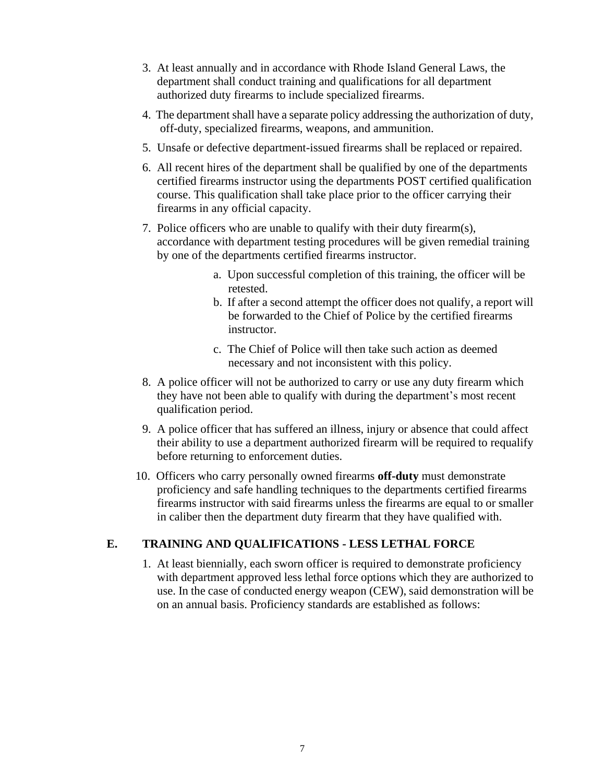- 3. At least annually and in accordance with Rhode Island General Laws, the department shall conduct training and qualifications for all department authorized duty firearms to include specialized firearms.
- 4. The department shall have a separate policy addressing the authorization of duty, off-duty, specialized firearms, weapons, and ammunition.
- 5. Unsafe or defective department-issued firearms shall be replaced or repaired.
- 6. All recent hires of the department shall be qualified by one of the departments certified firearms instructor using the departments POST certified qualification course. This qualification shall take place prior to the officer carrying their firearms in any official capacity.
- 7. Police officers who are unable to qualify with their duty firearm(s), accordance with department testing procedures will be given remedial training by one of the departments certified firearms instructor.
	- a. Upon successful completion of this training, the officer will be retested.
	- b. If after a second attempt the officer does not qualify, a report will be forwarded to the Chief of Police by the certified firearms instructor.
	- c. The Chief of Police will then take such action as deemed necessary and not inconsistent with this policy.
- 8. A police officer will not be authorized to carry or use any duty firearm which they have not been able to qualify with during the department's most recent qualification period.
- 9. A police officer that has suffered an illness, injury or absence that could affect their ability to use a department authorized firearm will be required to requalify before returning to enforcement duties.
- 10.Officers who carry personally owned firearms **off-duty** must demonstrate proficiency and safe handling techniques to the departments certified firearms firearms instructor with said firearms unless the firearms are equal to or smaller in caliber then the department duty firearm that they have qualified with.

#### **E. TRAINING AND QUALIFICATIONS - LESS LETHAL FORCE**

1. At least biennially, each sworn officer is required to demonstrate proficiency with department approved less lethal force options which they are authorized to use. In the case of conducted energy weapon (CEW), said demonstration will be on an annual basis. Proficiency standards are established as follows: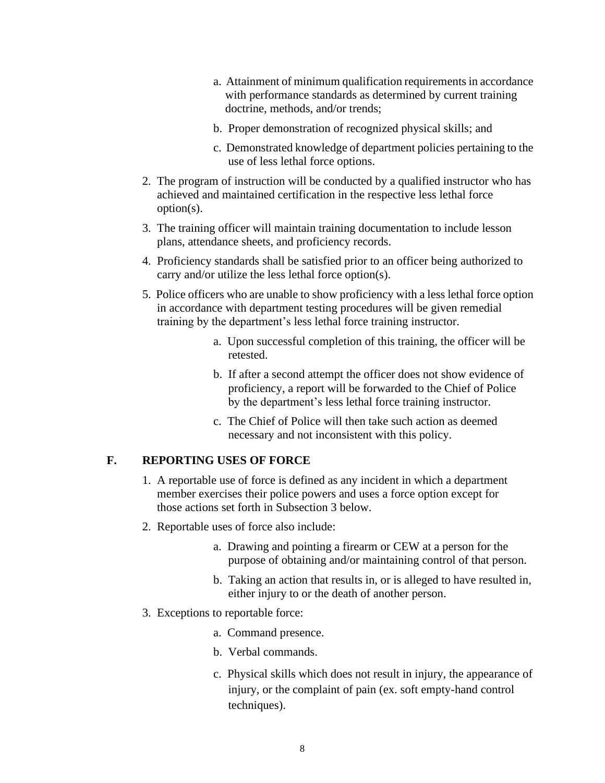- a. Attainment of minimum qualification requirements in accordance with performance standards as determined by current training doctrine, methods, and/or trends;
- b. Proper demonstration of recognized physical skills; and
- c. Demonstrated knowledge of department policies pertaining to the use of less lethal force options.
- 2. The program of instruction will be conducted by a qualified instructor who has achieved and maintained certification in the respective less lethal force option(s).
- 3. The training officer will maintain training documentation to include lesson plans, attendance sheets, and proficiency records.
- 4. Proficiency standards shall be satisfied prior to an officer being authorized to carry and/or utilize the less lethal force option(s).
- 5. Police officers who are unable to show proficiency with a less lethal force option in accordance with department testing procedures will be given remedial training by the department's less lethal force training instructor.
	- a. Upon successful completion of this training, the officer will be retested.
	- b. If after a second attempt the officer does not show evidence of proficiency, a report will be forwarded to the Chief of Police by the department's less lethal force training instructor.
	- c. The Chief of Police will then take such action as deemed necessary and not inconsistent with this policy.

#### **F. REPORTING USES OF FORCE**

- 1. A reportable use of force is defined as any incident in which a department member exercises their police powers and uses a force option except for those actions set forth in Subsection 3 below.
- 2. Reportable uses of force also include:
	- a. Drawing and pointing a firearm or CEW at a person for the purpose of obtaining and/or maintaining control of that person.
	- b. Taking an action that results in, or is alleged to have resulted in, either injury to or the death of another person.
- 3. Exceptions to reportable force:
	- a. Command presence.
	- b. Verbal commands.
	- c. Physical skills which does not result in injury, the appearance of injury, or the complaint of pain (ex. soft empty-hand control techniques).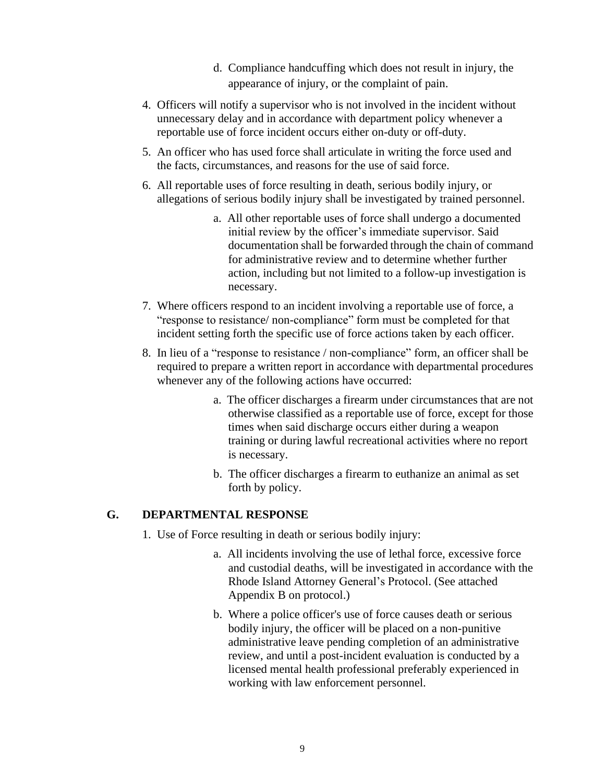- d. Compliance handcuffing which does not result in injury, the appearance of injury, or the complaint of pain.
- 4. Officers will notify a supervisor who is not involved in the incident without unnecessary delay and in accordance with department policy whenever a reportable use of force incident occurs either on-duty or off-duty.
- 5. An officer who has used force shall articulate in writing the force used and the facts, circumstances, and reasons for the use of said force.
- 6. All reportable uses of force resulting in death, serious bodily injury, or allegations of serious bodily injury shall be investigated by trained personnel.
	- a. All other reportable uses of force shall undergo a documented initial review by the officer's immediate supervisor. Said documentation shall be forwarded through the chain of command for administrative review and to determine whether further action, including but not limited to a follow-up investigation is necessary.
- 7. Where officers respond to an incident involving a reportable use of force, a "response to resistance/ non-compliance" form must be completed for that incident setting forth the specific use of force actions taken by each officer.
- 8. In lieu of a "response to resistance / non-compliance" form, an officer shall be required to prepare a written report in accordance with departmental procedures whenever any of the following actions have occurred:
	- a. The officer discharges a firearm under circumstances that are not otherwise classified as a reportable use of force, except for those times when said discharge occurs either during a weapon training or during lawful recreational activities where no report is necessary.
	- b. The officer discharges a firearm to euthanize an animal as set forth by policy.

#### **G. DEPARTMENTAL RESPONSE**

- 1. Use of Force resulting in death or serious bodily injury:
	- a.All incidents involving the use of lethal force, excessive force and custodial deaths, will be investigated in accordance with the Rhode Island Attorney General's Protocol. (See attached Appendix B on protocol.)
	- b. Where a police officer's use of force causes death or serious bodily injury, the officer will be placed on a non-punitive administrative leave pending completion of an administrative review, and until a post-incident evaluation is conducted by a licensed mental health professional preferably experienced in working with law enforcement personnel.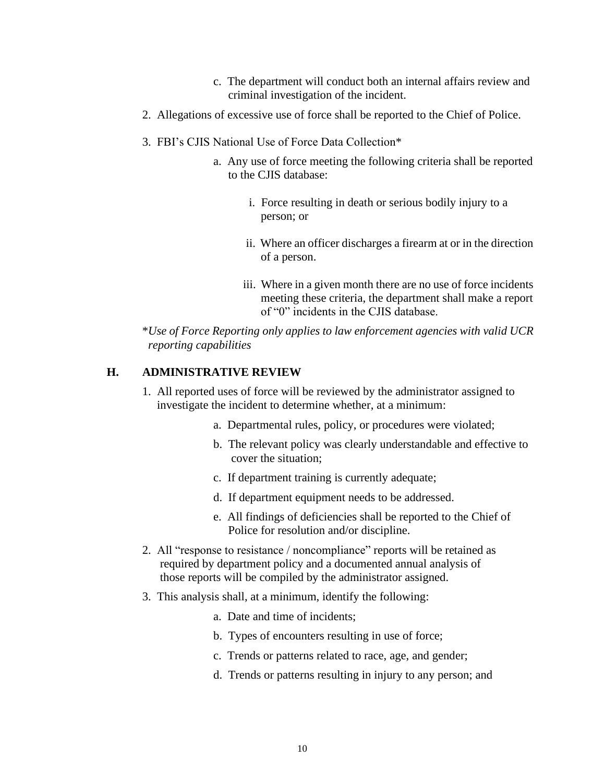- c. The department will conduct both an internal affairs review and criminal investigation of the incident.
- 2. Allegations of excessive use of force shall be reported to the Chief of Police.
- 3. FBI's CJIS National Use of Force Data Collection\*
	- a. Any use of force meeting the following criteria shall be reported to the CJIS database:
		- i. Force resulting in death or serious bodily injury to a person; or
		- ii. Where an officer discharges a firearm at or in the direction of a person.
		- iii. Where in a given month there are no use of force incidents meeting these criteria, the department shall make a report of "0" incidents in the CJIS database.

\**Use of Force Reporting only applies to law enforcement agencies with valid UCR reporting capabilities*

#### **H. ADMINISTRATIVE REVIEW**

- 1. All reported uses of force will be reviewed by the administrator assigned to investigate the incident to determine whether, at a minimum:
	- a. Departmental rules, policy, or procedures were violated;
	- b. The relevant policy was clearly understandable and effective to cover the situation;
	- c. If department training is currently adequate;
	- d. If department equipment needs to be addressed.
	- e. All findings of deficiencies shall be reported to the Chief of Police for resolution and/or discipline.
- 2. All "response to resistance / noncompliance" reports will be retained as required by department policy and a documented annual analysis of those reports will be compiled by the administrator assigned.
- 3. This analysis shall, at a minimum, identify the following:
	- a. Date and time of incidents;
	- b. Types of encounters resulting in use of force;
	- c. Trends or patterns related to race, age, and gender;
	- d. Trends or patterns resulting in injury to any person; and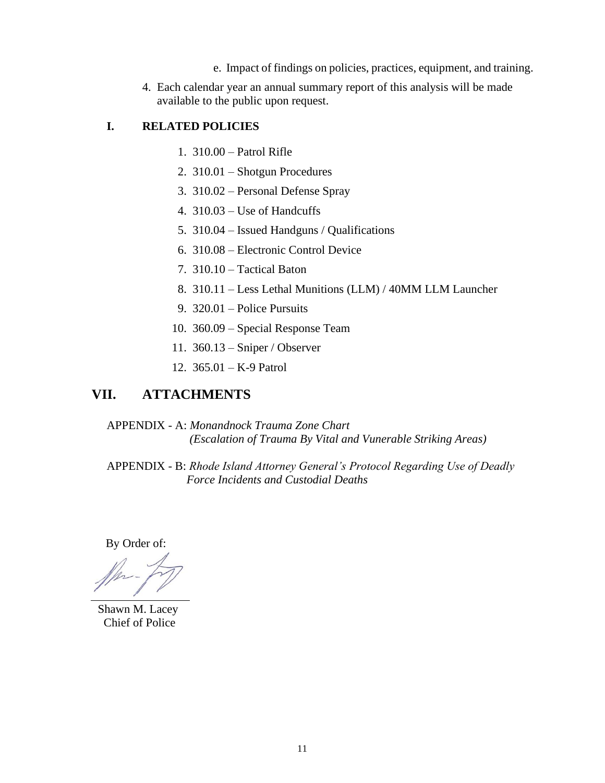- e. Impact of findings on policies, practices, equipment, and training.
- 4. Each calendar year an annual summary report of this analysis will be made available to the public upon request.

#### **I. RELATED POLICIES**

- 1. 310.00 Patrol Rifle
- 2. 310.01 Shotgun Procedures
- 3. 310.02 Personal Defense Spray
- 4. 310.03 Use of Handcuffs
- 5. 310.04 Issued Handguns / Qualifications
- 6. 310.08 Electronic Control Device
- 7. 310.10 Tactical Baton
- 8. 310.11 Less Lethal Munitions (LLM) / 40MM LLM Launcher
- 9. 320.01 Police Pursuits
- 10. 360.09 Special Response Team
- 11. 360.13 Sniper / Observer
- 12. 365.01 K-9 Patrol

## **VII. ATTACHMENTS**

APPENDIX - A: *Monandnock Trauma Zone Chart (Escalation of Trauma By Vital and Vunerable Striking Areas)*

APPENDIX - B: *Rhode Island Attorney General's Protocol Regarding Use of Deadly Force Incidents and Custodial Deaths*

By Order of:

 Shawn M. Lacey Chief of Police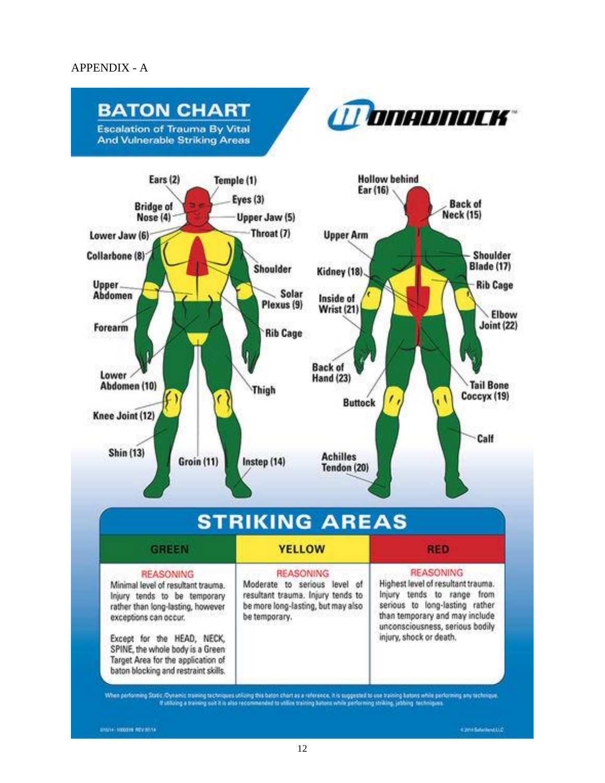#### APPENDIX - A

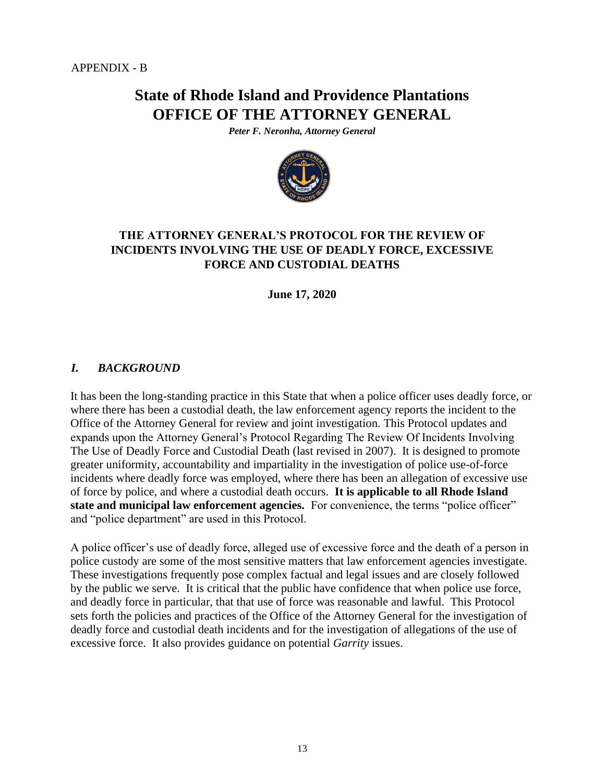## **State of Rhode Island and Providence Plantations OFFICE OF THE ATTORNEY GENERAL**

*Peter F. Neronha, Attorney General* 



### **THE ATTORNEY GENERAL'S PROTOCOL FOR THE REVIEW OF INCIDENTS INVOLVING THE USE OF DEADLY FORCE, EXCESSIVE FORCE AND CUSTODIAL DEATHS**

**June 17, 2020** 

#### *I. BACKGROUND*

It has been the long-standing practice in this State that when a police officer uses deadly force, or where there has been a custodial death, the law enforcement agency reports the incident to the Office of the Attorney General for review and joint investigation. This Protocol updates and expands upon the Attorney General's Protocol Regarding The Review Of Incidents Involving The Use of Deadly Force and Custodial Death (last revised in 2007). It is designed to promote greater uniformity, accountability and impartiality in the investigation of police use-of-force incidents where deadly force was employed, where there has been an allegation of excessive use of force by police, and where a custodial death occurs. **It is applicable to all Rhode Island state and municipal law enforcement agencies.** For convenience, the terms "police officer" and "police department" are used in this Protocol.

A police officer's use of deadly force, alleged use of excessive force and the death of a person in police custody are some of the most sensitive matters that law enforcement agencies investigate. These investigations frequently pose complex factual and legal issues and are closely followed by the public we serve. It is critical that the public have confidence that when police use force, and deadly force in particular, that that use of force was reasonable and lawful. This Protocol sets forth the policies and practices of the Office of the Attorney General for the investigation of deadly force and custodial death incidents and for the investigation of allegations of the use of excessive force. It also provides guidance on potential *Garrity* issues.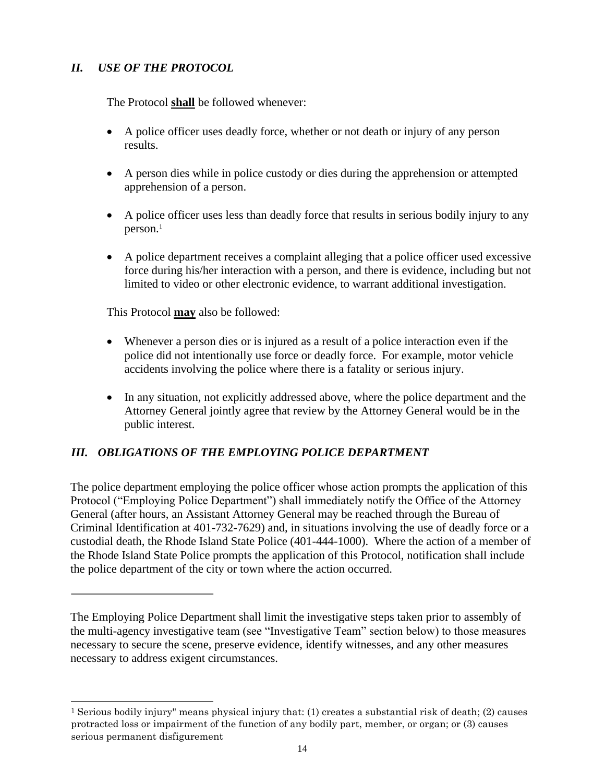## *II. USE OF THE PROTOCOL*

The Protocol **shall** be followed whenever:

- A police officer uses deadly force, whether or not death or injury of any person results.
- A person dies while in police custody or dies during the apprehension or attempted apprehension of a person.
- A police officer uses less than deadly force that results in serious bodily injury to any person.<sup>1</sup>
- A police department receives a complaint alleging that a police officer used excessive force during his/her interaction with a person, and there is evidence, including but not limited to video or other electronic evidence, to warrant additional investigation.

This Protocol **may** also be followed:

- Whenever a person dies or is injured as a result of a police interaction even if the police did not intentionally use force or deadly force. For example, motor vehicle accidents involving the police where there is a fatality or serious injury.
- In any situation, not explicitly addressed above, where the police department and the Attorney General jointly agree that review by the Attorney General would be in the public interest.

## *III. OBLIGATIONS OF THE EMPLOYING POLICE DEPARTMENT*

The police department employing the police officer whose action prompts the application of this Protocol ("Employing Police Department") shall immediately notify the Office of the Attorney General (after hours, an Assistant Attorney General may be reached through the Bureau of Criminal Identification at 401-732-7629) and, in situations involving the use of deadly force or a custodial death, the Rhode Island State Police (401-444-1000). Where the action of a member of the Rhode Island State Police prompts the application of this Protocol, notification shall include the police department of the city or town where the action occurred.

The Employing Police Department shall limit the investigative steps taken prior to assembly of the multi-agency investigative team (see "Investigative Team" section below) to those measures necessary to secure the scene, preserve evidence, identify witnesses, and any other measures necessary to address exigent circumstances.

<sup>1</sup> Serious bodily injury" means physical injury that: (1) creates a substantial risk of death; (2) causes protracted loss or impairment of the function of any bodily part, member, or organ; or (3) causes serious permanent disfigurement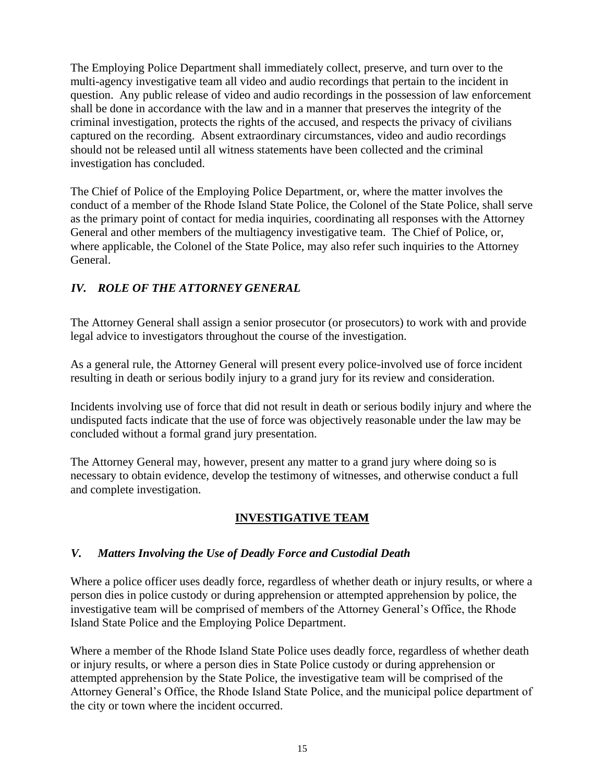The Employing Police Department shall immediately collect, preserve, and turn over to the multi-agency investigative team all video and audio recordings that pertain to the incident in question. Any public release of video and audio recordings in the possession of law enforcement shall be done in accordance with the law and in a manner that preserves the integrity of the criminal investigation, protects the rights of the accused, and respects the privacy of civilians captured on the recording. Absent extraordinary circumstances, video and audio recordings should not be released until all witness statements have been collected and the criminal investigation has concluded.

The Chief of Police of the Employing Police Department, or, where the matter involves the conduct of a member of the Rhode Island State Police, the Colonel of the State Police, shall serve as the primary point of contact for media inquiries, coordinating all responses with the Attorney General and other members of the multiagency investigative team. The Chief of Police, or, where applicable, the Colonel of the State Police, may also refer such inquiries to the Attorney General.

## *IV. ROLE OF THE ATTORNEY GENERAL*

The Attorney General shall assign a senior prosecutor (or prosecutors) to work with and provide legal advice to investigators throughout the course of the investigation.

As a general rule, the Attorney General will present every police-involved use of force incident resulting in death or serious bodily injury to a grand jury for its review and consideration.

Incidents involving use of force that did not result in death or serious bodily injury and where the undisputed facts indicate that the use of force was objectively reasonable under the law may be concluded without a formal grand jury presentation.

The Attorney General may, however, present any matter to a grand jury where doing so is necessary to obtain evidence, develop the testimony of witnesses, and otherwise conduct a full and complete investigation.

## **INVESTIGATIVE TEAM**

#### *V. Matters Involving the Use of Deadly Force and Custodial Death*

Where a police officer uses deadly force, regardless of whether death or injury results, or where a person dies in police custody or during apprehension or attempted apprehension by police, the investigative team will be comprised of members of the Attorney General's Office, the Rhode Island State Police and the Employing Police Department.

Where a member of the Rhode Island State Police uses deadly force, regardless of whether death or injury results, or where a person dies in State Police custody or during apprehension or attempted apprehension by the State Police, the investigative team will be comprised of the Attorney General's Office, the Rhode Island State Police, and the municipal police department of the city or town where the incident occurred.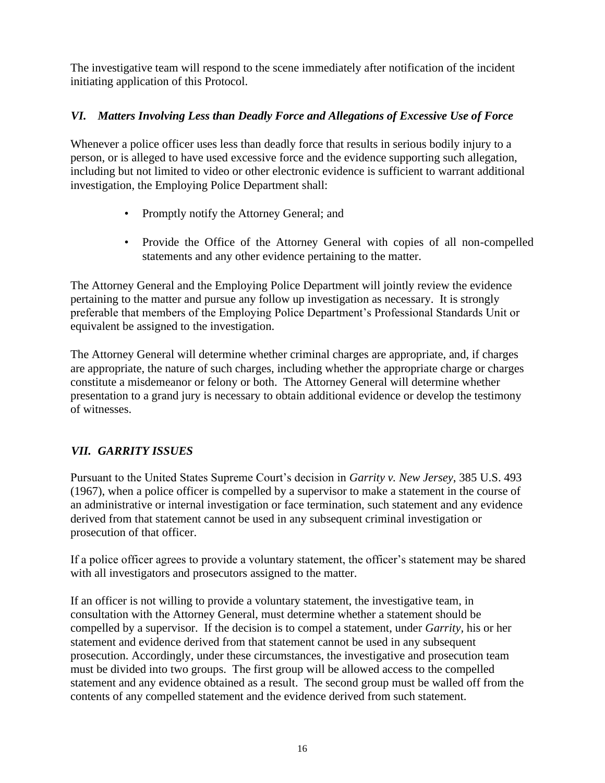The investigative team will respond to the scene immediately after notification of the incident initiating application of this Protocol.

## *VI. Matters Involving Less than Deadly Force and Allegations of Excessive Use of Force*

Whenever a police officer uses less than deadly force that results in serious bodily injury to a person, or is alleged to have used excessive force and the evidence supporting such allegation, including but not limited to video or other electronic evidence is sufficient to warrant additional investigation, the Employing Police Department shall:

- Promptly notify the Attorney General; and
- Provide the Office of the Attorney General with copies of all non-compelled statements and any other evidence pertaining to the matter.

The Attorney General and the Employing Police Department will jointly review the evidence pertaining to the matter and pursue any follow up investigation as necessary. It is strongly preferable that members of the Employing Police Department's Professional Standards Unit or equivalent be assigned to the investigation.

The Attorney General will determine whether criminal charges are appropriate, and, if charges are appropriate, the nature of such charges, including whether the appropriate charge or charges constitute a misdemeanor or felony or both. The Attorney General will determine whether presentation to a grand jury is necessary to obtain additional evidence or develop the testimony of witnesses.

## *VII. GARRITY ISSUES*

Pursuant to the United States Supreme Court's decision in *Garrity v. New Jersey*, 385 U.S. 493 (1967), when a police officer is compelled by a supervisor to make a statement in the course of an administrative or internal investigation or face termination, such statement and any evidence derived from that statement cannot be used in any subsequent criminal investigation or prosecution of that officer.

If a police officer agrees to provide a voluntary statement, the officer's statement may be shared with all investigators and prosecutors assigned to the matter.

If an officer is not willing to provide a voluntary statement, the investigative team, in consultation with the Attorney General, must determine whether a statement should be compelled by a supervisor. If the decision is to compel a statement, under *Garrity,* his or her statement and evidence derived from that statement cannot be used in any subsequent prosecution. Accordingly, under these circumstances, the investigative and prosecution team must be divided into two groups. The first group will be allowed access to the compelled statement and any evidence obtained as a result. The second group must be walled off from the contents of any compelled statement and the evidence derived from such statement.